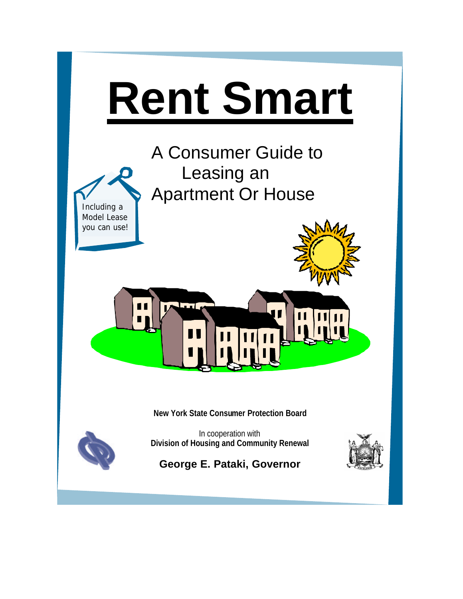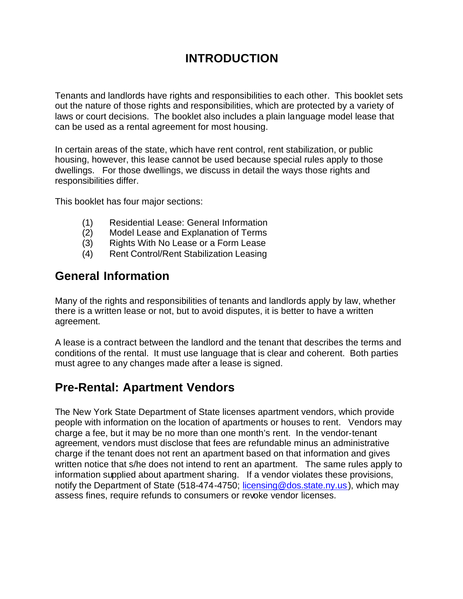# **INTRODUCTION**

Tenants and landlords have rights and responsibilities to each other. This booklet sets out the nature of those rights and responsibilities, which are protected by a variety of laws or court decisions. The booklet also includes a plain language model lease that can be used as a rental agreement for most housing.

In certain areas of the state, which have rent control, rent stabilization, or public housing, however, this lease cannot be used because special rules apply to those dwellings. For those dwellings, we discuss in detail the ways those rights and responsibilities differ.

This booklet has four major sections:

- (1) Residential Lease: General Information
- (2) Model Lease and Explanation of Terms
- (3) Rights With No Lease or a Form Lease
- (4) Rent Control/Rent Stabilization Leasing

# **General Information**

Many of the rights and responsibilities of tenants and landlords apply by law, whether there is a written lease or not, but to avoid disputes, it is better to have a written agreement.

A lease is a contract between the landlord and the tenant that describes the terms and conditions of the rental. It must use language that is clear and coherent. Both parties must agree to any changes made after a lease is signed.

# **Pre-Rental: Apartment Vendors**

The New York State Department of State licenses apartment vendors, which provide people with information on the location of apartments or houses to rent. Vendors may charge a fee, but it may be no more than one month's rent. In the vendor-tenant agreement, vendors must disclose that fees are refundable minus an administrative charge if the tenant does not rent an apartment based on that information and gives written notice that s/he does not intend to rent an apartment. The same rules apply to information supplied about apartment sharing. If a vendor violates these provisions, notify the Department of State (518-474-4750; licensing@dos.state.ny.us), which may assess fines, require refunds to consumers or revoke vendor licenses.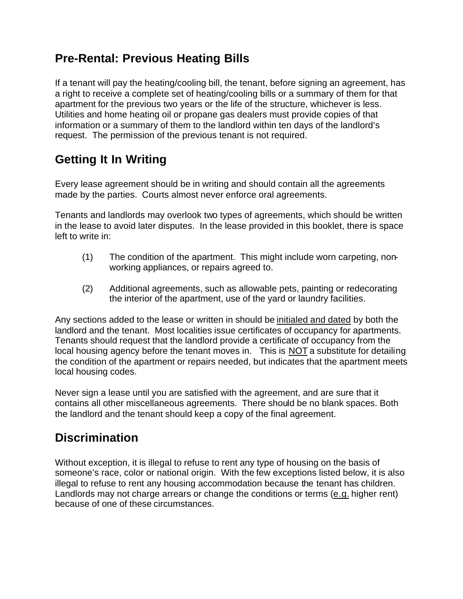# **Pre-Rental: Previous Heating Bills**

If a tenant will pay the heating/cooling bill, the tenant, before signing an agreement, has a right to receive a complete set of heating/cooling bills or a summary of them for that apartment for the previous two years or the life of the structure, whichever is less. Utilities and home heating oil or propane gas dealers must provide copies of that information or a summary of them to the landlord within ten days of the landlord's request. The permission of the previous tenant is not required.

# **Getting It In Writing**

Every lease agreement should be in writing and should contain all the agreements made by the parties. Courts almost never enforce oral agreements.

Tenants and landlords may overlook two types of agreements, which should be written in the lease to avoid later disputes. In the lease provided in this booklet, there is space left to write in:

- (1) The condition of the apartment. This might include worn carpeting, nonworking appliances, or repairs agreed to.
- (2) Additional agreements, such as allowable pets, painting or redecorating the interior of the apartment, use of the yard or laundry facilities.

Any sections added to the lease or written in should be initialed and dated by both the landlord and the tenant. Most localities issue certificates of occupancy for apartments. Tenants should request that the landlord provide a certificate of occupancy from the local housing agency before the tenant moves in. This is NOT a substitute for detailing the condition of the apartment or repairs needed, but indicates that the apartment meets local housing codes.

Never sign a lease until you are satisfied with the agreement, and are sure that it contains all other miscellaneous agreements. There should be no blank spaces. Both the landlord and the tenant should keep a copy of the final agreement.

# **Discrimination**

Without exception, it is illegal to refuse to rent any type of housing on the basis of someone's race, color or national origin. With the few exceptions listed below, it is also illegal to refuse to rent any housing accommodation because the tenant has children. Landlords may not charge arrears or change the conditions or terms (e.g. higher rent) because of one of these circumstances.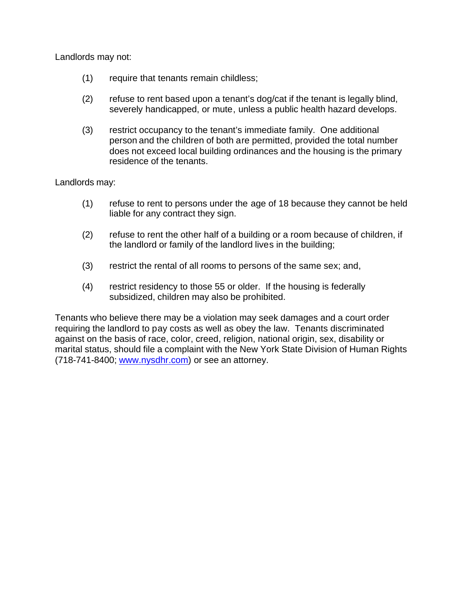Landlords may not:

- (1) require that tenants remain childless;
- (2) refuse to rent based upon a tenant's dog/cat if the tenant is legally blind, severely handicapped, or mute, unless a public health hazard develops.
- (3) restrict occupancy to the tenant's immediate family. One additional person and the children of both are permitted, provided the total number does not exceed local building ordinances and the housing is the primary residence of the tenants.

Landlords may:

- (1) refuse to rent to persons under the age of 18 because they cannot be held liable for any contract they sign.
- (2) refuse to rent the other half of a building or a room because of children, if the landlord or family of the landlord lives in the building;
- (3) restrict the rental of all rooms to persons of the same sex; and,
- (4) restrict residency to those 55 or older. If the housing is federally subsidized, children may also be prohibited.

Tenants who believe there may be a violation may seek damages and a court order requiring the landlord to pay costs as well as obey the law. Tenants discriminated against on the basis of race, color, creed, religion, national origin, sex, disability or marital status, should file a complaint with the New York State Division of Human Rights (718-741-8400; www.nysdhr.com) or see an attorney.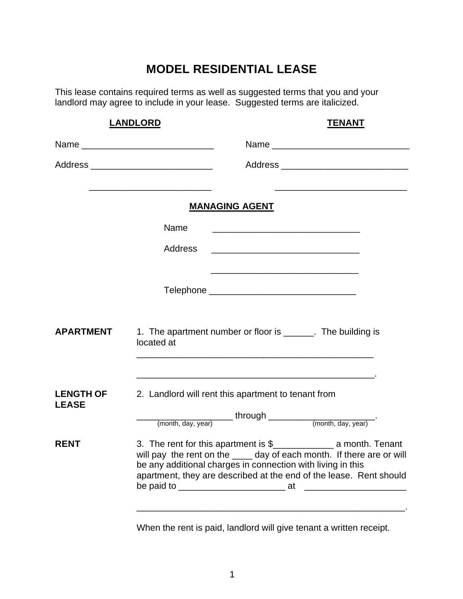# **MODEL RESIDENTIAL LEASE**

This lease contains required terms as well as suggested terms that you and your landlord may agree to include in your lease. Suggested terms are italicized.

|                                  | <b>LANDLORD</b><br><b>TENANT</b>                                                                                                                                                                           |
|----------------------------------|------------------------------------------------------------------------------------------------------------------------------------------------------------------------------------------------------------|
|                                  |                                                                                                                                                                                                            |
|                                  | Address _______________________________                                                                                                                                                                    |
|                                  | <b>MANAGING AGENT</b>                                                                                                                                                                                      |
|                                  | Name<br><u> 1980 - Johann John Stone, mars eta biztanleria (h. 1980).</u>                                                                                                                                  |
|                                  | Address<br><u> 1989 - Johann John Stone, mars et al. 1989 - John Stone, mars et al. 1989 - John Stone, mars et al. 1989 - Joh</u>                                                                          |
|                                  |                                                                                                                                                                                                            |
| <b>APARTMENT</b>                 | 1. The apartment number or floor is ______. The building is<br>located at<br><u> 1989 - Johann Stoff, amerikansk politiker (* 1908)</u>                                                                    |
| <b>LENGTH OF</b><br><b>LEASE</b> | 2. Landlord will rent this apartment to tenant from                                                                                                                                                        |
| <b>RENT</b>                      | will pay the rent on the ____ day of each month. If there are or will<br>be any additional charges in connection with living in this<br>apartment, they are described at the end of the lease. Rent should |

When the rent is paid, landlord will give tenant a written receipt.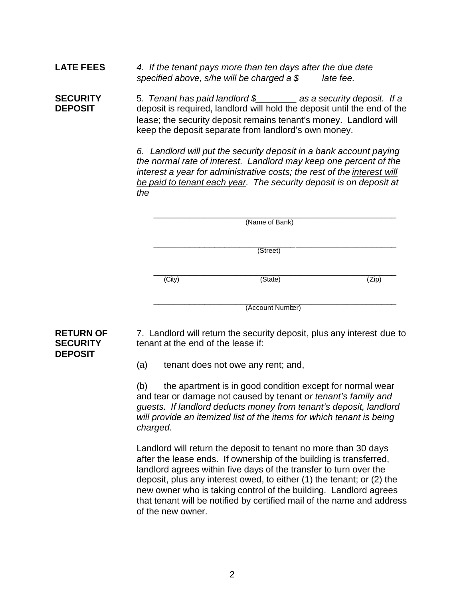**LATE FEES** *4. If the tenant pays more than ten days after the due date specified above, s/he will be charged a \$\_\_\_\_ late fee.*

**SECURITY** 5. *Tenant has paid landlord \$\_\_\_\_\_\_\_\_ as a security deposit. If a*  **DEPOSIT** deposit is required, landlord will hold the deposit until the end of the lease; the security deposit remains tenant's money. Landlord will keep the deposit separate from landlord's own money.

> *6. Landlord will put the security deposit in a bank account paying the normal rate of interest. Landlord may keep one percent of the interest a year for administrative costs; the rest of the interest will be paid to tenant each year. The security deposit is on deposit at the*

|        | (Name of Bank)   |       |
|--------|------------------|-------|
|        | (Street)         |       |
| (City) | (State)          | (Zip) |
|        | (Account Number) |       |

**RETURN OF** 7. Landlord will return the security deposit, plus any interest due to **SECURITY** tenant at the end of the lease if:

(a) tenant does not owe any rent; and,

(b) the apartment is in good condition except for normal wear and tear or damage not caused by tenant *or tenant's family and guests. If landlord deducts money from tenant's deposit, landlord will provide an itemized list of the items for which tenant is being charged*.

Landlord will return the deposit to tenant no more than 30 days after the lease ends. If ownership of the building is transferred, landlord agrees within five days of the transfer to turn over the deposit, plus any interest owed, to either (1) the tenant; or (2) the new owner who is taking control of the building. Landlord agrees that tenant will be notified by certified mail of the name and address of the new owner.

# **DEPOSIT**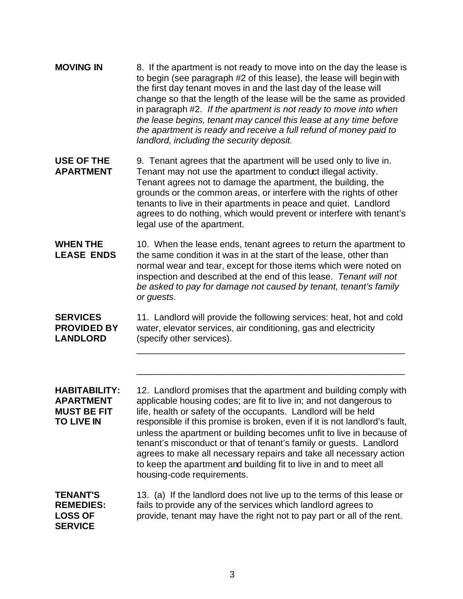| <b>MOVING IN</b> | 8. If the apartment is not ready to move into on the day the lease is<br>to begin (see paragraph #2 of this lease), the lease will begin with<br>the first day tenant moves in and the last day of the lease will<br>change so that the length of the lease will be the same as provided<br>in paragraph #2. If the apartment is not ready to move into when<br>the lease begins, tenant may cancel this lease at any time before<br>the apartment is ready and receive a full refund of money paid to<br>landlord, including the security deposit. |
|------------------|-----------------------------------------------------------------------------------------------------------------------------------------------------------------------------------------------------------------------------------------------------------------------------------------------------------------------------------------------------------------------------------------------------------------------------------------------------------------------------------------------------------------------------------------------------|
|                  |                                                                                                                                                                                                                                                                                                                                                                                                                                                                                                                                                     |

**USE OF THE** 9. Tenant agrees that the apartment will be used only to live in. **APARTMENT** Tenant may not use the apartment to conduct illegal activity. Tenant agrees not to damage the apartment, the building, the grounds or the common areas, or interfere with the rights of other tenants to live in their apartments in peace and quiet. Landlord agrees to do nothing, which would prevent or interfere with tenant's legal use of the apartment.

**WHEN THE** 10. When the lease ends, tenant agrees to return the apartment to **LEASE ENDS** the same condition it was in at the start of the lease, other than normal wear and tear, except for those items which were noted on inspection and described at the end of this lease. *Tenant will not be asked to pay for damage not caused by tenant, tenant's family or guests*.

**SERVICES** 11. Landlord will provide the following services: heat, hot and cold **PROVIDED BY** water, elevator services, air conditioning, gas and electricity LANDLORD (specify other services).

\_\_\_\_\_\_\_\_\_\_\_\_\_\_\_\_\_\_\_\_\_\_\_\_\_\_\_\_\_\_\_\_\_\_\_\_\_\_\_\_\_\_\_\_\_\_\_\_\_\_\_\_\_

\_\_\_\_\_\_\_\_\_\_\_\_\_\_\_\_\_\_\_\_\_\_\_\_\_\_\_\_\_\_\_\_\_\_\_\_\_\_\_\_\_\_\_\_\_\_\_\_\_\_\_\_\_

**HABITABILITY:** 12. Landlord promises that the apartment and building comply with **APARTMENT** applicable housing codes; are fit to live in; and not dangerous to **MUST BE FIT** life, health or safety of the occupants. Landlord will be held **TO LIVE IN** responsible if this promise is broken, even if it is not landlord's fault, unless the apartment or building becomes unfit to live in because of tenant's misconduct or that of tenant's family or guests. Landlord agrees to make all necessary repairs and take all necessary action to keep the apartment and building fit to live in and to meet all housing-code requirements.

**TENANT'S** 13. (a) If the landlord does not live up to the terms of this lease or **REMEDIES:** fails to provide any of the services which landlord agrees to LOSS OF provide, tenant may have the right not to pay part or all of the rent. **SERVICE**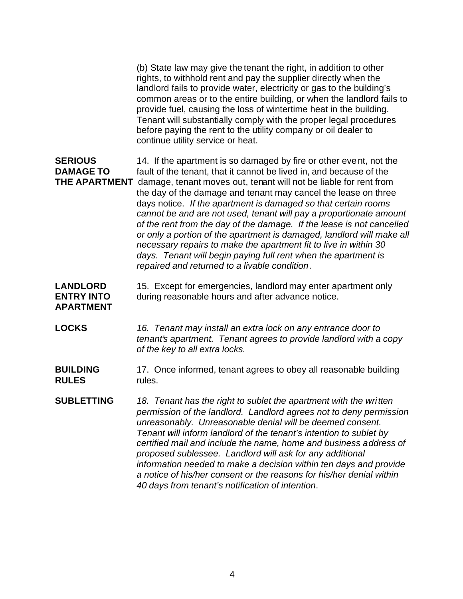(b) State law may give the tenant the right, in addition to other rights, to withhold rent and pay the supplier directly when the landlord fails to provide water, electricity or gas to the building's common areas or to the entire building, or when the landlord fails to provide fuel, causing the loss of wintertime heat in the building. Tenant will substantially comply with the proper legal procedures before paying the rent to the utility company or oil dealer to continue utility service or heat.

**SERIOUS** 14. If the apartment is so damaged by fire or other event, not the **DAMAGE TO** fault of the tenant, that it cannot be lived in, and because of the **THE APARTMENT** damage, tenant moves out, tenant will not be liable for rent from the day of the damage and tenant may cancel the lease on three days notice. *If the apartment is damaged so that certain rooms cannot be and are not used, tenant will pay a proportionate amount of the rent from the day of the damage. If the lease is not cancelled or only a portion of the apartment is damaged, landlord will make all necessary repairs to make the apartment fit to live in within 30 days. Tenant will begin paying full rent when the apartment is repaired and returned to a livable condition*.

**LANDLORD** 15. Except for emergencies, landlord may enter apartment only **ENTRY INTO** during reasonable hours and after advance notice.

# **APARTMENT**

**LOCKS** *16. Tenant may install an extra lock on any entrance door to tenant's apartment. Tenant agrees to provide landlord with a copy of the key to all extra locks.*

#### **BUILDING** 17. Once informed, tenant agrees to obey all reasonable building **RULES** rules.

**SUBLETTING** *18. Tenant has the right to sublet the apartment with the written permission of the landlord. Landlord agrees not to deny permission unreasonably. Unreasonable denial will be deemed consent. Tenant will inform landlord of the tenant's intention to sublet by certified mail and include the name, home and business address of proposed sublessee. Landlord will ask for any additional information needed to make a decision within ten days and provide a notice of his/her consent or the reasons for his/her denial within 40 days from tenant's notification of intention*.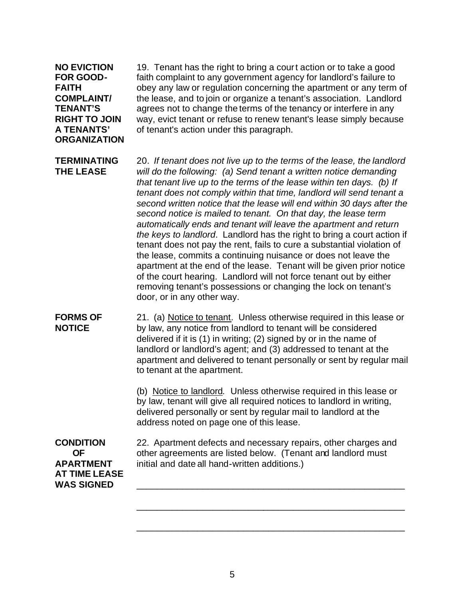**ORGANIZATION**

**NO EVICTION** 19. Tenant has the right to bring a court action or to take a good **FOR GOOD-** faith complaint to any government agency for landlord's failure to **FAITH** obey any law or regulation concerning the apartment or any term of **COMPLAINT/** the lease, and to join or organize a tenant's association. Landlord **TENANT'S** agrees not to change the terms of the tenancy or interfere in any **RIGHT TO JOIN** way, evict tenant or refuse to renew tenant's lease simply because **A TENANTS'** of tenant's action under this paragraph.

**TERMINATING** 20. *If tenant does not live up to the terms of the lease, the landlord* **THE LEASE** *will do the following: (a) Send tenant a written notice demanding that tenant live up to the terms of the lease within ten days. (b) If tenant does not comply within that time, landlord will send tenant a second written notice that the lease will end within 30 days after the second notice is mailed to tenant. On that day, the lease term automatically ends and tenant will leave the apartment and return the keys to landlord*. Landlord has the right to bring a court action if tenant does not pay the rent, fails to cure a substantial violation of the lease, commits a continuing nuisance or does not leave the apartment at the end of the lease. Tenant will be given prior notice of the court hearing. Landlord will not force tenant out by either removing tenant's possessions or changing the lock on tenant's door, or in any other way.

**FORMS OF** 21. (a) Notice to tenant*.* Unless otherwise required in this lease or **NOTICE** by law, any notice from landlord to tenant will be considered delivered if it is (1) in writing; (2) signed by or in the name of landlord or landlord's agent; and (3) addressed to tenant at the apartment and delivered to tenant personally or sent by regular mail to tenant at the apartment.

> (b) Notice to landlord*.* Unless otherwise required in this lease or by law, tenant will give all required notices to landlord in writing, delivered personally or sent by regular mail to landlord at the address noted on page one of this lease.

**AT TIME LEASE**  WAS SIGNED

**CONDITION** 22. Apartment defects and necessary repairs, other charges and **OF** other agreements are listed below. (Tenant and landlord must **APARTMENT** initial and date all hand-written additions.)

\_\_\_\_\_\_\_\_\_\_\_\_\_\_\_\_\_\_\_\_\_\_\_\_\_\_\_\_\_\_\_\_\_\_\_\_\_\_\_\_\_\_\_\_\_\_\_\_\_\_\_\_\_

\_\_\_\_\_\_\_\_\_\_\_\_\_\_\_\_\_\_\_\_\_\_\_\_\_\_\_\_\_\_\_\_\_\_\_\_\_\_\_\_\_\_\_\_\_\_\_\_\_\_\_\_\_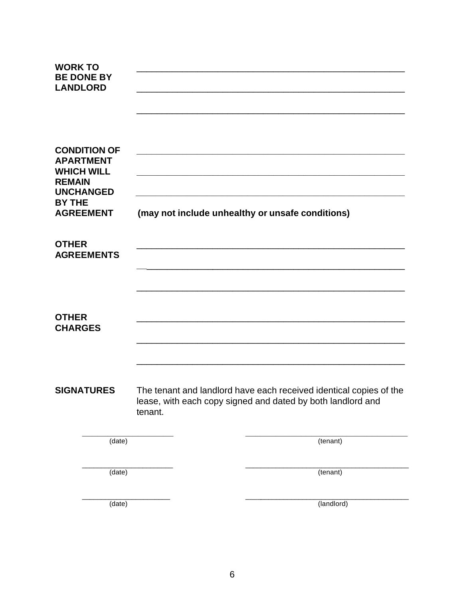| <b>WORK TO</b><br><b>BE DONE BY</b><br><b>LANDLORD</b>                  |                                                             |         |                                                                                                                                   |
|-------------------------------------------------------------------------|-------------------------------------------------------------|---------|-----------------------------------------------------------------------------------------------------------------------------------|
| <b>APARTMENT</b><br><b>WHICH WILL</b><br><b>REMAIN</b><br><b>BY THE</b> | <b>CONDITION OF</b><br><b>UNCHANGED</b><br><b>AGREEMENT</b> |         | (may not include unhealthy or unsafe conditions)                                                                                  |
| <b>OTHER</b>                                                            | <b>AGREEMENTS</b>                                           |         |                                                                                                                                   |
| <b>OTHER</b><br><b>CHARGES</b>                                          |                                                             |         |                                                                                                                                   |
|                                                                         | <b>SIGNATURES</b>                                           | tenant. | The tenant and landlord have each received identical copies of the<br>lease, with each copy signed and dated by both landlord and |
|                                                                         | (date)                                                      |         | (tenant)                                                                                                                          |
|                                                                         | (date)                                                      |         | (tenant)                                                                                                                          |
|                                                                         | (date)                                                      |         | $\overline{(\text{landlord})}$                                                                                                    |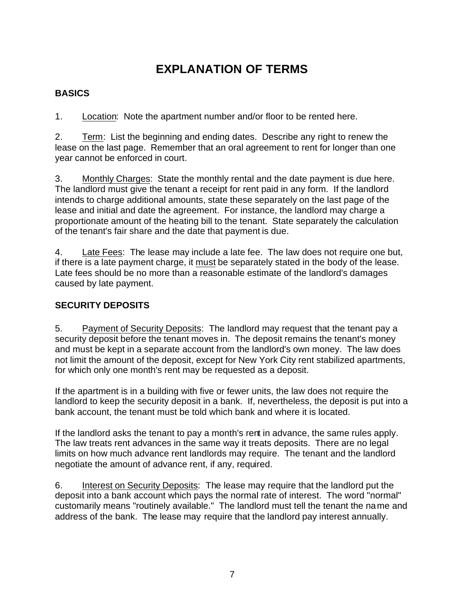# **EXPLANATION OF TERMS**

### **BASICS**

1. Location: Note the apartment number and/or floor to be rented here.

2. Term: List the beginning and ending dates. Describe any right to renew the lease on the last page. Remember that an oral agreement to rent for longer than one year cannot be enforced in court.

3. Monthly Charges: State the monthly rental and the date payment is due here. The landlord must give the tenant a receipt for rent paid in any form. If the landlord intends to charge additional amounts, state these separately on the last page of the lease and initial and date the agreement. For instance, the landlord may charge a proportionate amount of the heating bill to the tenant. State separately the calculation of the tenant's fair share and the date that payment is due.

4. Late Fees: The lease may include a late fee. The law does not require one but, if there is a late payment charge, it must be separately stated in the body of the lease. Late fees should be no more than a reasonable estimate of the landlord's damages caused by late payment.

### **SECURITY DEPOSITS**

5. Payment of Security Deposits: The landlord may request that the tenant pay a security deposit before the tenant moves in. The deposit remains the tenant's money and must be kept in a separate account from the landlord's own money. The law does not limit the amount of the deposit, except for New York City rent stabilized apartments, for which only one month's rent may be requested as a deposit.

If the apartment is in a building with five or fewer units, the law does not require the landlord to keep the security deposit in a bank. If, nevertheless, the deposit is put into a bank account, the tenant must be told which bank and where it is located.

If the landlord asks the tenant to pay a month's rent in advance, the same rules apply. The law treats rent advances in the same way it treats deposits. There are no legal limits on how much advance rent landlords may require. The tenant and the landlord negotiate the amount of advance rent, if any, required.

6. Interest on Security Deposits: The lease may require that the landlord put the deposit into a bank account which pays the normal rate of interest. The word "normal" customarily means "routinely available." The landlord must tell the tenant the name and address of the bank. The lease may require that the landlord pay interest annually.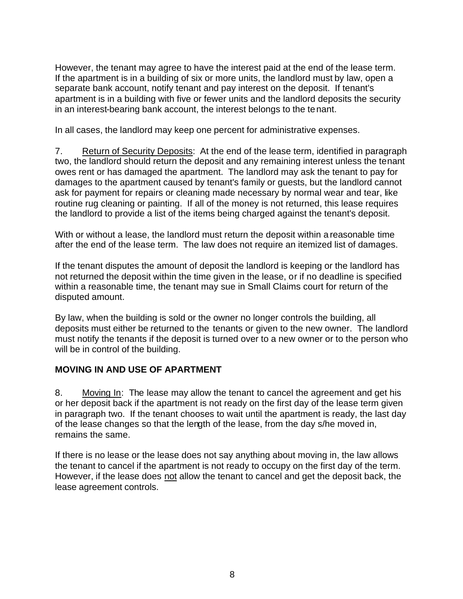However, the tenant may agree to have the interest paid at the end of the lease term. If the apartment is in a building of six or more units, the landlord must by law, open a separate bank account, notify tenant and pay interest on the deposit. If tenant's apartment is in a building with five or fewer units and the landlord deposits the security in an interest-bearing bank account, the interest belongs to the tenant.

In all cases, the landlord may keep one percent for administrative expenses.

7. Return of Security Deposits: At the end of the lease term, identified in paragraph two, the landlord should return the deposit and any remaining interest unless the tenant owes rent or has damaged the apartment. The landlord may ask the tenant to pay for damages to the apartment caused by tenant's family or guests, but the landlord cannot ask for payment for repairs or cleaning made necessary by normal wear and tear, like routine rug cleaning or painting. If all of the money is not returned, this lease requires the landlord to provide a list of the items being charged against the tenant's deposit.

With or without a lease, the landlord must return the deposit within a reasonable time after the end of the lease term. The law does not require an itemized list of damages.

If the tenant disputes the amount of deposit the landlord is keeping or the landlord has not returned the deposit within the time given in the lease, or if no deadline is specified within a reasonable time, the tenant may sue in Small Claims court for return of the disputed amount.

By law, when the building is sold or the owner no longer controls the building, all deposits must either be returned to the tenants or given to the new owner. The landlord must notify the tenants if the deposit is turned over to a new owner or to the person who will be in control of the building.

#### **MOVING IN AND USE OF APARTMENT**

8. Moving In: The lease may allow the tenant to cancel the agreement and get his or her deposit back if the apartment is not ready on the first day of the lease term given in paragraph two. If the tenant chooses to wait until the apartment is ready, the last day of the lease changes so that the length of the lease, from the day s/he moved in, remains the same.

If there is no lease or the lease does not say anything about moving in, the law allows the tenant to cancel if the apartment is not ready to occupy on the first day of the term. However, if the lease does not allow the tenant to cancel and get the deposit back, the lease agreement controls.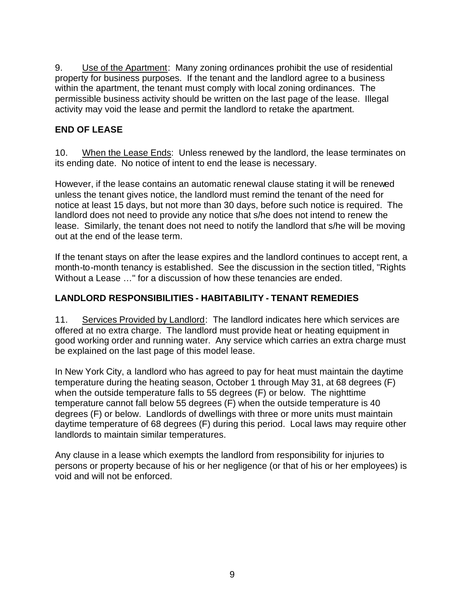9. Use of the Apartment: Many zoning ordinances prohibit the use of residential property for business purposes. If the tenant and the landlord agree to a business within the apartment, the tenant must comply with local zoning ordinances. The permissible business activity should be written on the last page of the lease. Illegal activity may void the lease and permit the landlord to retake the apartment.

### **END OF LEASE**

10. When the Lease Ends: Unless renewed by the landlord, the lease terminates on its ending date. No notice of intent to end the lease is necessary.

However, if the lease contains an automatic renewal clause stating it will be renewed unless the tenant gives notice, the landlord must remind the tenant of the need for notice at least 15 days, but not more than 30 days, before such notice is required. The landlord does not need to provide any notice that s/he does not intend to renew the lease. Similarly, the tenant does not need to notify the landlord that s/he will be moving out at the end of the lease term.

If the tenant stays on after the lease expires and the landlord continues to accept rent, a month-to-month tenancy is established. See the discussion in the section titled, "Rights Without a Lease …" for a discussion of how these tenancies are ended.

#### **LANDLORD RESPONSIBILITIES - HABITABILITY - TENANT REMEDIES**

11. Services Provided by Landlord: The landlord indicates here which services are offered at no extra charge. The landlord must provide heat or heating equipment in good working order and running water. Any service which carries an extra charge must be explained on the last page of this model lease.

In New York City, a landlord who has agreed to pay for heat must maintain the daytime temperature during the heating season, October 1 through May 31, at 68 degrees (F) when the outside temperature falls to 55 degrees (F) or below. The nighttime temperature cannot fall below 55 degrees (F) when the outside temperature is 40 degrees (F) or below. Landlords of dwellings with three or more units must maintain daytime temperature of 68 degrees (F) during this period. Local laws may require other landlords to maintain similar temperatures.

Any clause in a lease which exempts the landlord from responsibility for injuries to persons or property because of his or her negligence (or that of his or her employees) is void and will not be enforced.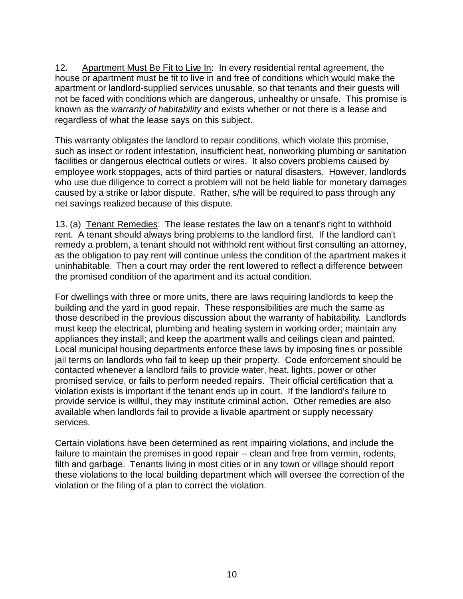12. Apartment Must Be Fit to Live In: In every residential rental agreement, the house or apartment must be fit to live in and free of conditions which would make the apartment or landlord-supplied services unusable, so that tenants and their guests will not be faced with conditions which are dangerous, unhealthy or unsafe. This promise is known as the *warranty of habitability* and exists whether or not there is a lease and regardless of what the lease says on this subject.

This warranty obligates the landlord to repair conditions, which violate this promise, such as insect or rodent infestation, insufficient heat, nonworking plumbing or sanitation facilities or dangerous electrical outlets or wires. It also covers problems caused by employee work stoppages, acts of third parties or natural disasters. However, landlords who use due diligence to correct a problem will not be held liable for monetary damages caused by a strike or labor dispute. Rather, s/he will be required to pass through any net savings realized because of this dispute.

13. (a) Tenant Remedies: The lease restates the law on a tenant's right to withhold rent. A tenant should always bring problems to the landlord first. If the landlord can't remedy a problem, a tenant should not withhold rent without first consulting an attorney, as the obligation to pay rent will continue unless the condition of the apartment makes it uninhabitable. Then a court may order the rent lowered to reflect a difference between the promised condition of the apartment and its actual condition.

For dwellings with three or more units, there are laws requiring landlords to keep the building and the yard in good repair. These responsibilities are much the same as those described in the previous discussion about the warranty of habitability. Landlords must keep the electrical, plumbing and heating system in working order; maintain any appliances they install; and keep the apartment walls and ceilings clean and painted. Local municipal housing departments enforce these laws by imposing fines or possible jail terms on landlords who fail to keep up their property. Code enforcement should be contacted whenever a landlord fails to provide water, heat, lights, power or other promised service, or fails to perform needed repairs. Their official certification that a violation exists is important if the tenant ends up in court. If the landlord's failure to provide service is willful, they may institute criminal action. Other remedies are also available when landlords fail to provide a livable apartment or supply necessary services.

Certain violations have been determined as rent impairing violations, and include the failure to maintain the premises in good repair -- clean and free from vermin, rodents, filth and garbage. Tenants living in most cities or in any town or village should report these violations to the local building department which will oversee the correction of the violation or the filing of a plan to correct the violation.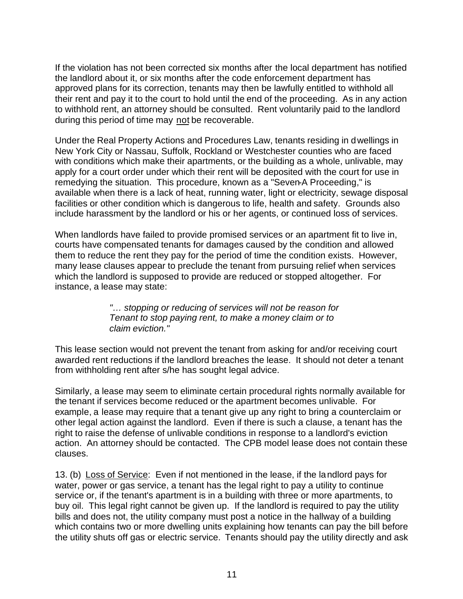If the violation has not been corrected six months after the local department has notified the landlord about it, or six months after the code enforcement department has approved plans for its correction, tenants may then be lawfully entitled to withhold all their rent and pay it to the court to hold until the end of the proceeding. As in any action to withhold rent, an attorney should be consulted. Rent voluntarily paid to the landlord during this period of time may not be recoverable.

Under the Real Property Actions and Procedures Law, tenants residing in dwellings in New York City or Nassau, Suffolk, Rockland or Westchester counties who are faced with conditions which make their apartments, or the building as a whole, unlivable, may apply for a court order under which their rent will be deposited with the court for use in remedying the situation. This procedure, known as a "Seven-A Proceeding," is available when there is a lack of heat, running water, light or electricity, sewage disposal facilities or other condition which is dangerous to life, health and safety. Grounds also include harassment by the landlord or his or her agents, or continued loss of services.

When landlords have failed to provide promised services or an apartment fit to live in, courts have compensated tenants for damages caused by the condition and allowed them to reduce the rent they pay for the period of time the condition exists. However, many lease clauses appear to preclude the tenant from pursuing relief when services which the landlord is supposed to provide are reduced or stopped altogether. For instance, a lease may state:

> *"… stopping or reducing of services will not be reason for Tenant to stop paying rent, to make a money claim or to claim eviction."*

This lease section would not prevent the tenant from asking for and/or receiving court awarded rent reductions if the landlord breaches the lease. It should not deter a tenant from withholding rent after s/he has sought legal advice.

Similarly, a lease may seem to eliminate certain procedural rights normally available for the tenant if services become reduced or the apartment becomes unlivable. For example, a lease may require that a tenant give up any right to bring a counterclaim or other legal action against the landlord. Even if there is such a clause, a tenant has the right to raise the defense of unlivable conditions in response to a landlord's eviction action. An attorney should be contacted. The CPB model lease does not contain these clauses.

13. (b) Loss of Service: Even if not mentioned in the lease, if the landlord pays for water, power or gas service, a tenant has the legal right to pay a utility to continue service or, if the tenant's apartment is in a building with three or more apartments, to buy oil. This legal right cannot be given up. If the landlord is required to pay the utility bills and does not, the utility company must post a notice in the hallway of a building which contains two or more dwelling units explaining how tenants can pay the bill before the utility shuts off gas or electric service. Tenants should pay the utility directly and ask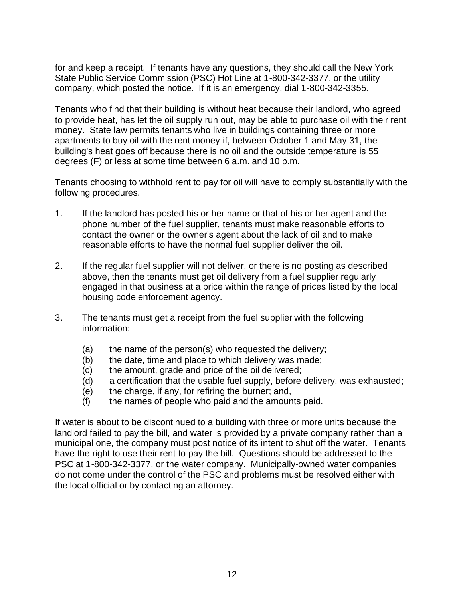for and keep a receipt. If tenants have any questions, they should call the New York State Public Service Commission (PSC) Hot Line at 1-800-342-3377, or the utility company, which posted the notice. If it is an emergency, dial 1-800-342-3355.

Tenants who find that their building is without heat because their landlord, who agreed to provide heat, has let the oil supply run out, may be able to purchase oil with their rent money. State law permits tenants who live in buildings containing three or more apartments to buy oil with the rent money if, between October 1 and May 31, the building's heat goes off because there is no oil and the outside temperature is 55 degrees (F) or less at some time between 6 a.m. and 10 p.m.

Tenants choosing to withhold rent to pay for oil will have to comply substantially with the following procedures.

- 1. If the landlord has posted his or her name or that of his or her agent and the phone number of the fuel supplier, tenants must make reasonable efforts to contact the owner or the owner's agent about the lack of oil and to make reasonable efforts to have the normal fuel supplier deliver the oil.
- 2. If the regular fuel supplier will not deliver, or there is no posting as described above, then the tenants must get oil delivery from a fuel supplier regularly engaged in that business at a price within the range of prices listed by the local housing code enforcement agency.
- 3. The tenants must get a receipt from the fuel supplier with the following information:
	- (a) the name of the person(s) who requested the delivery;
	- (b) the date, time and place to which delivery was made;
	- (c) the amount, grade and price of the oil delivered;
	- (d) a certification that the usable fuel supply, before delivery, was exhausted;
	- (e) the charge, if any, for refiring the burner; and,
	- (f) the names of people who paid and the amounts paid.

If water is about to be discontinued to a building with three or more units because the landlord failed to pay the bill, and water is provided by a private company rather than a municipal one, the company must post notice of its intent to shut off the water. Tenants have the right to use their rent to pay the bill. Questions should be addressed to the PSC at 1-800-342-3377, or the water company. Municipally-owned water companies do not come under the control of the PSC and problems must be resolved either with the local official or by contacting an attorney.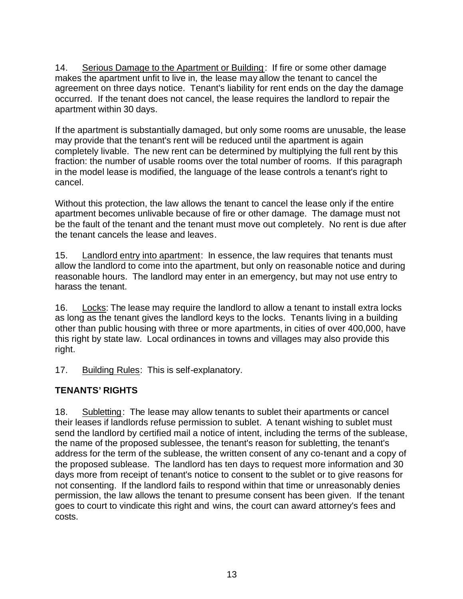14. Serious Damage to the Apartment or Building: If fire or some other damage makes the apartment unfit to live in, the lease may allow the tenant to cancel the agreement on three days notice. Tenant's liability for rent ends on the day the damage occurred. If the tenant does not cancel, the lease requires the landlord to repair the apartment within 30 days.

If the apartment is substantially damaged, but only some rooms are unusable, the lease may provide that the tenant's rent will be reduced until the apartment is again completely livable. The new rent can be determined by multiplying the full rent by this fraction: the number of usable rooms over the total number of rooms. If this paragraph in the model lease is modified, the language of the lease controls a tenant's right to cancel.

Without this protection, the law allows the tenant to cancel the lease only if the entire apartment becomes unlivable because of fire or other damage. The damage must not be the fault of the tenant and the tenant must move out completely. No rent is due after the tenant cancels the lease and leaves.

15. Landlord entry into apartment: In essence, the law requires that tenants must allow the landlord to come into the apartment, but only on reasonable notice and during reasonable hours. The landlord may enter in an emergency, but may not use entry to harass the tenant.

16. Locks: The lease may require the landlord to allow a tenant to install extra locks as long as the tenant gives the landlord keys to the locks. Tenants living in a building other than public housing with three or more apartments, in cities of over 400,000, have this right by state law. Local ordinances in towns and villages may also provide this right.

17. Building Rules: This is self-explanatory.

#### **TENANTS' RIGHTS**

18. Subletting: The lease may allow tenants to sublet their apartments or cancel their leases if landlords refuse permission to sublet. A tenant wishing to sublet must send the landlord by certified mail a notice of intent, including the terms of the sublease, the name of the proposed sublessee, the tenant's reason for subletting, the tenant's address for the term of the sublease, the written consent of any co-tenant and a copy of the proposed sublease. The landlord has ten days to request more information and 30 days more from receipt of tenant's notice to consent to the sublet or to give reasons for not consenting. If the landlord fails to respond within that time or unreasonably denies permission, the law allows the tenant to presume consent has been given. If the tenant goes to court to vindicate this right and wins, the court can award attorney's fees and costs.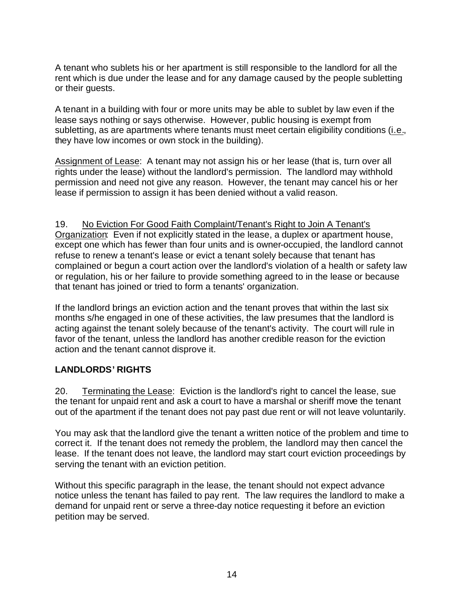A tenant who sublets his or her apartment is still responsible to the landlord for all the rent which is due under the lease and for any damage caused by the people subletting or their guests.

A tenant in a building with four or more units may be able to sublet by law even if the lease says nothing or says otherwise. However, public housing is exempt from subletting, as are apartments where tenants must meet certain eligibility conditions (i.e., they have low incomes or own stock in the building).

Assignment of Lease: A tenant may not assign his or her lease (that is, turn over all rights under the lease) without the landlord's permission. The landlord may withhold permission and need not give any reason. However, the tenant may cancel his or her lease if permission to assign it has been denied without a valid reason.

19. No Eviction For Good Faith Complaint/Tenant's Right to Join A Tenant's Organization: Even if not explicitly stated in the lease, a duplex or apartment house, except one which has fewer than four units and is owner-occupied, the landlord cannot refuse to renew a tenant's lease or evict a tenant solely because that tenant has complained or begun a court action over the landlord's violation of a health or safety law or regulation, his or her failure to provide something agreed to in the lease or because that tenant has joined or tried to form a tenants' organization.

If the landlord brings an eviction action and the tenant proves that within the last six months s/he engaged in one of these activities, the law presumes that the landlord is acting against the tenant solely because of the tenant's activity. The court will rule in favor of the tenant, unless the landlord has another credible reason for the eviction action and the tenant cannot disprove it.

#### **LANDLORDS' RIGHTS**

20. Terminating the Lease: Eviction is the landlord's right to cancel the lease, sue the tenant for unpaid rent and ask a court to have a marshal or sheriff move the tenant out of the apartment if the tenant does not pay past due rent or will not leave voluntarily.

You may ask that the landlord give the tenant a written notice of the problem and time to correct it. If the tenant does not remedy the problem, the landlord may then cancel the lease. If the tenant does not leave, the landlord may start court eviction proceedings by serving the tenant with an eviction petition.

Without this specific paragraph in the lease, the tenant should not expect advance notice unless the tenant has failed to pay rent. The law requires the landlord to make a demand for unpaid rent or serve a three-day notice requesting it before an eviction petition may be served.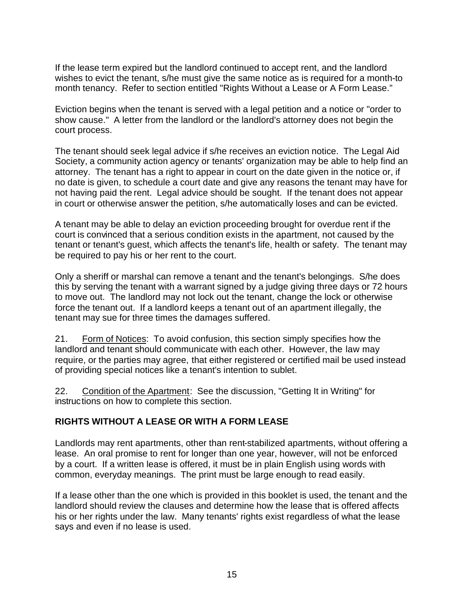If the lease term expired but the landlord continued to accept rent, and the landlord wishes to evict the tenant, s/he must give the same notice as is required for a month-to month tenancy. Refer to section entitled "Rights Without a Lease or A Form Lease."

Eviction begins when the tenant is served with a legal petition and a notice or "order to show cause." A letter from the landlord or the landlord's attorney does not begin the court process.

The tenant should seek legal advice if s/he receives an eviction notice. The Legal Aid Society, a community action agency or tenants' organization may be able to help find an attorney. The tenant has a right to appear in court on the date given in the notice or, if no date is given, to schedule a court date and give any reasons the tenant may have for not having paid the rent. Legal advice should be sought. If the tenant does not appear in court or otherwise answer the petition, s/he automatically loses and can be evicted.

A tenant may be able to delay an eviction proceeding brought for overdue rent if the court is convinced that a serious condition exists in the apartment, not caused by the tenant or tenant's guest, which affects the tenant's life, health or safety. The tenant may be required to pay his or her rent to the court.

Only a sheriff or marshal can remove a tenant and the tenant's belongings. S/he does this by serving the tenant with a warrant signed by a judge giving three days or 72 hours to move out. The landlord may not lock out the tenant, change the lock or otherwise force the tenant out. If a landlord keeps a tenant out of an apartment illegally, the tenant may sue for three times the damages suffered.

21. Form of Notices: To avoid confusion, this section simply specifies how the landlord and tenant should communicate with each other. However, the law may require, or the parties may agree, that either registered or certified mail be used instead of providing special notices like a tenant's intention to sublet.

22. Condition of the Apartment: See the discussion, "Getting It in Writing" for instructions on how to complete this section.

#### **RIGHTS WITHOUT A LEASE OR WITH A FORM LEASE**

Landlords may rent apartments, other than rent-stabilized apartments, without offering a lease. An oral promise to rent for longer than one year, however, will not be enforced by a court. If a written lease is offered, it must be in plain English using words with common, everyday meanings. The print must be large enough to read easily.

If a lease other than the one which is provided in this booklet is used, the tenant and the landlord should review the clauses and determine how the lease that is offered affects his or her rights under the law. Many tenants' rights exist regardless of what the lease says and even if no lease is used.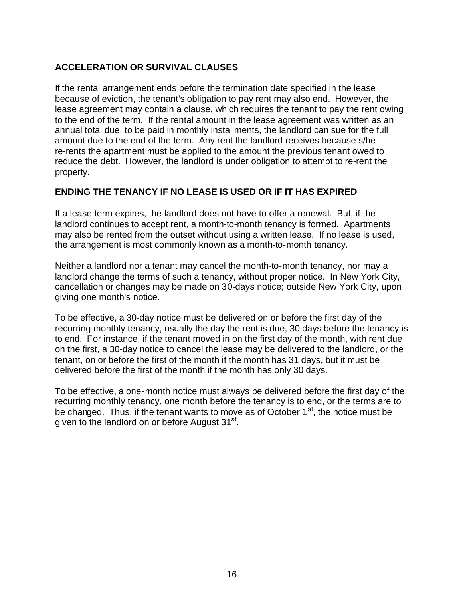### **ACCELERATION OR SURVIVAL CLAUSES**

If the rental arrangement ends before the termination date specified in the lease because of eviction, the tenant's obligation to pay rent may also end. However, the lease agreement may contain a clause, which requires the tenant to pay the rent owing to the end of the term. If the rental amount in the lease agreement was written as an annual total due, to be paid in monthly installments, the landlord can sue for the full amount due to the end of the term. Any rent the landlord receives because s/he re-rents the apartment must be applied to the amount the previous tenant owed to reduce the debt. However, the landlord is under obligation to attempt to re-rent the property.

#### **ENDING THE TENANCY IF NO LEASE IS USED OR IF IT HAS EXPIRED**

If a lease term expires, the landlord does not have to offer a renewal. But, if the landlord continues to accept rent, a month-to-month tenancy is formed. Apartments may also be rented from the outset without using a written lease. If no lease is used, the arrangement is most commonly known as a month-to-month tenancy.

Neither a landlord nor a tenant may cancel the month-to-month tenancy, nor may a landlord change the terms of such a tenancy, without proper notice. In New York City, cancellation or changes may be made on 30-days notice; outside New York City, upon giving one month's notice.

To be effective, a 30-day notice must be delivered on or before the first day of the recurring monthly tenancy, usually the day the rent is due, 30 days before the tenancy is to end. For instance, if the tenant moved in on the first day of the month, with rent due on the first, a 30-day notice to cancel the lease may be delivered to the landlord, or the tenant, on or before the first of the month if the month has 31 days, but it must be delivered before the first of the month if the month has only 30 days.

To be effective, a one-month notice must always be delivered before the first day of the recurring monthly tenancy, one month before the tenancy is to end, or the terms are to be changed. Thus, if the tenant wants to move as of October  $1<sup>st</sup>$ , the notice must be given to the landlord on or before August 31st.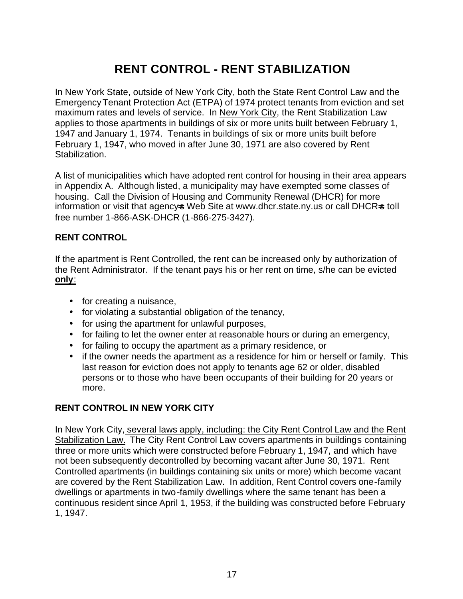# **RENT CONTROL - RENT STABILIZATION**

In New York State, outside of New York City, both the State Rent Control Law and the Emergency Tenant Protection Act (ETPA) of 1974 protect tenants from eviction and set maximum rates and levels of service. In New York City, the Rent Stabilization Law applies to those apartments in buildings of six or more units built between February 1, 1947 and January 1, 1974. Tenants in buildings of six or more units built before February 1, 1947, who moved in after June 30, 1971 are also covered by Rent Stabilization.

A list of municipalities which have adopted rent control for housing in their area appears in Appendix A. Although listed, a municipality may have exempted some classes of housing. Call the Division of Housing and Community Renewal (DHCR) for more information or visit that agencys Web Site at www.dhcr.state.ny.us or call DHCR=s toll free number 1-866-ASK-DHCR (1-866-275-3427).

#### **RENT CONTROL**

If the apartment is Rent Controlled, the rent can be increased only by authorization of the Rent Administrator. If the tenant pays his or her rent on time, s/he can be evicted **only**:

- for creating a nuisance,
- for violating a substantial obligation of the tenancy,
- for using the apartment for unlawful purposes,
- for failing to let the owner enter at reasonable hours or during an emergency,
- for failing to occupy the apartment as a primary residence, or
- if the owner needs the apartment as a residence for him or herself or family. This last reason for eviction does not apply to tenants age 62 or older, disabled persons or to those who have been occupants of their building for 20 years or more.

#### **RENT CONTROL IN NEW YORK CITY**

In New York City, several laws apply, including: the City Rent Control Law and the Rent Stabilization Law. The City Rent Control Law covers apartments in buildings containing three or more units which were constructed before February 1, 1947, and which have not been subsequently decontrolled by becoming vacant after June 30, 1971. Rent Controlled apartments (in buildings containing six units or more) which become vacant are covered by the Rent Stabilization Law. In addition, Rent Control covers one-family dwellings or apartments in two-family dwellings where the same tenant has been a continuous resident since April 1, 1953, if the building was constructed before February 1, 1947.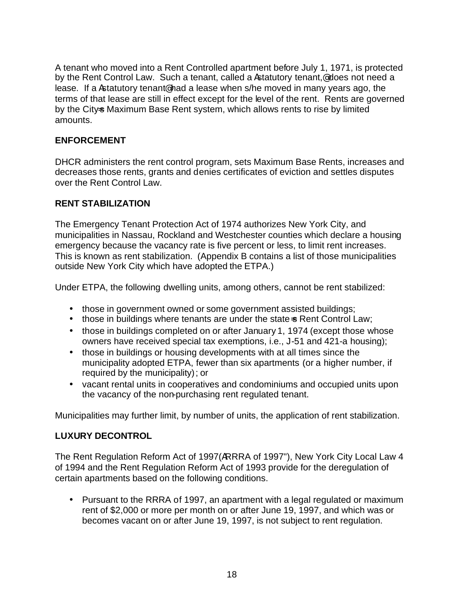A tenant who moved into a Rent Controlled apartment before July 1, 1971, is protected by the Rent Control Law. Such a tenant, called a Astatutory tenant, @ does not need a lease. If a Astatutory tenant@ had a lease when s/he moved in many years ago, the terms of that lease are still in effect except for the level of the rent. Rents are governed by the Citys Maximum Base Rent system, which allows rents to rise by limited amounts.

#### **ENFORCEMENT**

DHCR administers the rent control program, sets Maximum Base Rents, increases and decreases those rents, grants and denies certificates of eviction and settles disputes over the Rent Control Law.

#### **RENT STABILIZATION**

The Emergency Tenant Protection Act of 1974 authorizes New York City, and municipalities in Nassau, Rockland and Westchester counties which declare a housing emergency because the vacancy rate is five percent or less, to limit rent increases. This is known as rent stabilization. (Appendix B contains a list of those municipalities outside New York City which have adopted the ETPA.)

Under ETPA, the following dwelling units, among others, cannot be rent stabilized:

- those in government owned or some government assisted buildings;
- those in buildings where tenants are under the state is Rent Control Law;
- those in buildings completed on or after January 1, 1974 (except those whose owners have received special tax exemptions, i.e., J-51 and 421-a housing);
- those in buildings or housing developments with at all times since the municipality adopted ETPA, fewer than six apartments (or a higher number, if required by the municipality); or
- vacant rental units in cooperatives and condominiums and occupied units upon the vacancy of the non-purchasing rent regulated tenant.

Municipalities may further limit, by number of units, the application of rent stabilization.

#### **LUXURY DECONTROL**

The Rent Regulation Reform Act of 1997(ARRRA of 1997"), New York City Local Law 4 of 1994 and the Rent Regulation Reform Act of 1993 provide for the deregulation of certain apartments based on the following conditions.

• Pursuant to the RRRA of 1997, an apartment with a legal regulated or maximum rent of \$2,000 or more per month on or after June 19, 1997, and which was or becomes vacant on or after June 19, 1997, is not subject to rent regulation.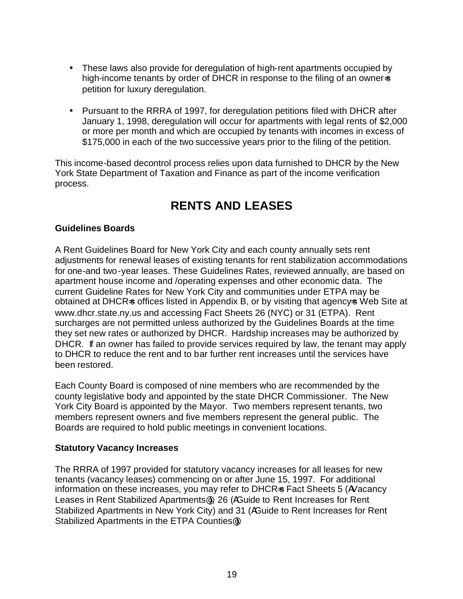- These laws also provide for deregulation of high-rent apartments occupied by high-income tenants by order of DHCR in response to the filing of an owner-s petition for luxury deregulation.
- Pursuant to the RRRA of 1997, for deregulation petitions filed with DHCR after January 1, 1998, deregulation will occur for apartments with legal rents of \$2,000 or more per month and which are occupied by tenants with incomes in excess of \$175,000 in each of the two successive years prior to the filing of the petition.

This income-based decontrol process relies upon data furnished to DHCR by the New York State Department of Taxation and Finance as part of the income verification process.

# **RENTS AND LEASES**

#### **Guidelines Boards**

A Rent Guidelines Board for New York City and each county annually sets rent adjustments for renewal leases of existing tenants for rent stabilization accommodations for one-and two-year leases. These Guidelines Rates, reviewed annually, are based on apartment house income and /operating expenses and other economic data. The current Guideline Rates for New York City and communities under ETPA may be obtained at DHCR=s offices listed in Appendix B, or by visiting that agency=s Web Site at www.dhcr.state.ny.us and accessing Fact Sheets 26 (NYC) or 31 (ETPA). Rent surcharges are not permitted unless authorized by the Guidelines Boards at the time they set new rates or authorized by DHCR. Hardship increases may be authorized by DHCR. If an owner has failed to provide services required by law, the tenant may apply to DHCR to reduce the rent and to bar further rent increases until the services have been restored.

Each County Board is composed of nine members who are recommended by the county legislative body and appointed by the state DHCR Commissioner. The New York City Board is appointed by the Mayor. Two members represent tenants, two members represent owners and five members represent the general public. The Boards are required to hold public meetings in convenient locations.

#### **Statutory Vacancy Increases**

The RRRA of 1997 provided for statutory vacancy increases for all leases for new tenants (vacancy leases) commencing on or after June 15, 1997. For additional information on these increases, you may refer to DHCR=s Fact Sheets 5 (AVacancy Leases in Rent Stabilized Apartments@), 26 (AGuide to Rent Increases for Rent Stabilized Apartments in New York City) and 31 (AGuide to Rent Increases for Rent Stabilized Apartments in the ETPA Counties@).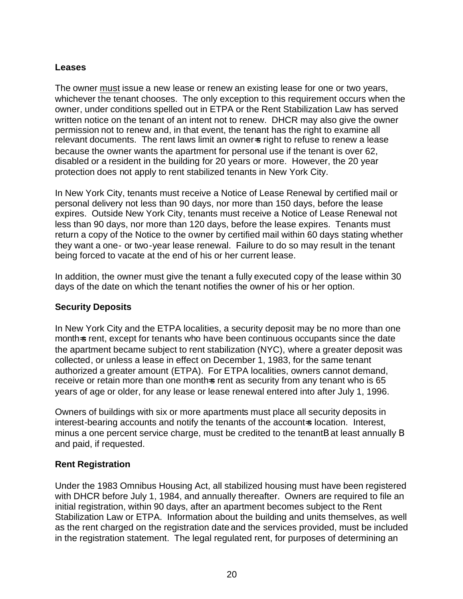#### **Leases**

The owner must issue a new lease or renew an existing lease for one or two years, whichever the tenant chooses. The only exception to this requirement occurs when the owner, under conditions spelled out in ETPA or the Rent Stabilization Law has served written notice on the tenant of an intent not to renew. DHCR may also give the owner permission not to renew and, in that event, the tenant has the right to examine all relevant documents. The rent laws limit an owners right to refuse to renew a lease because the owner wants the apartment for personal use if the tenant is over 62, disabled or a resident in the building for 20 years or more. However, the 20 year protection does not apply to rent stabilized tenants in New York City.

In New York City, tenants must receive a Notice of Lease Renewal by certified mail or personal delivery not less than 90 days, nor more than 150 days, before the lease expires. Outside New York City, tenants must receive a Notice of Lease Renewal not less than 90 days, nor more than 120 days, before the lease expires. Tenants must return a copy of the Notice to the owner by certified mail within 60 days stating whether they want a one- or two-year lease renewal. Failure to do so may result in the tenant being forced to vacate at the end of his or her current lease.

In addition, the owner must give the tenant a fully executed copy of the lease within 30 days of the date on which the tenant notifies the owner of his or her option.

#### **Security Deposits**

In New York City and the ETPA localities, a security deposit may be no more than one month=s rent, except for tenants who have been continuous occupants since the date the apartment became subject to rent stabilization (NYC), where a greater deposit was collected, or unless a lease in effect on December 1, 1983, for the same tenant authorized a greater amount (ETPA). For ETPA localities, owners cannot demand, receive or retain more than one months rent as security from any tenant who is 65 years of age or older, for any lease or lease renewal entered into after July 1, 1996.

Owners of buildings with six or more apartments must place all security deposits in interest-bearing accounts and notify the tenants of the account-s location. Interest, minus a one percent service charge, must be credited to the tenantB at least annually B and paid, if requested.

#### **Rent Registration**

Under the 1983 Omnibus Housing Act, all stabilized housing must have been registered with DHCR before July 1, 1984, and annually thereafter. Owners are required to file an initial registration, within 90 days, after an apartment becomes subject to the Rent Stabilization Law or ETPA. Information about the building and units themselves, as well as the rent charged on the registration date and the services provided, must be included in the registration statement. The legal regulated rent, for purposes of determining an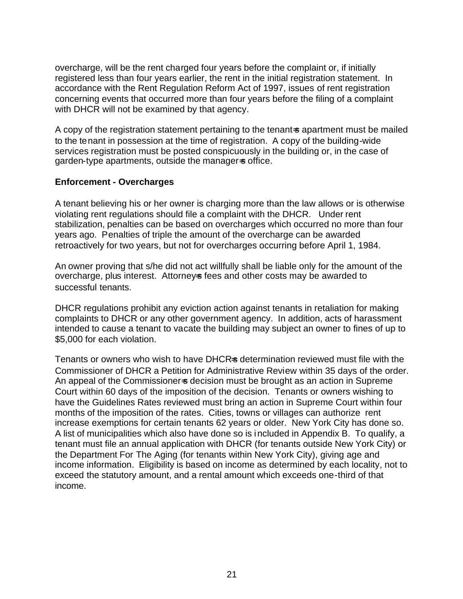overcharge, will be the rent charged four years before the complaint or, if initially registered less than four years earlier, the rent in the initial registration statement. In accordance with the Rent Regulation Reform Act of 1997, issues of rent registration concerning events that occurred more than four years before the filing of a complaint with DHCR will not be examined by that agency.

A copy of the registration statement pertaining to the tenant-s apartment must be mailed to the tenant in possession at the time of registration. A copy of the building-wide services registration must be posted conspicuously in the building or, in the case of garden-type apartments, outside the managers office.

#### **Enforcement - Overcharges**

A tenant believing his or her owner is charging more than the law allows or is otherwise violating rent regulations should file a complaint with the DHCR. Under rent stabilization, penalties can be based on overcharges which occurred no more than four years ago. Penalties of triple the amount of the overcharge can be awarded retroactively for two years, but not for overcharges occurring before April 1, 1984.

An owner proving that s/he did not act willfully shall be liable only for the amount of the overcharge, plus interest. Attorneys fees and other costs may be awarded to successful tenants.

DHCR regulations prohibit any eviction action against tenants in retaliation for making complaints to DHCR or any other government agency. In addition, acts of harassment intended to cause a tenant to vacate the building may subject an owner to fines of up to \$5,000 for each violation.

Tenants or owners who wish to have DHCRs determination reviewed must file with the Commissioner of DHCR a Petition for Administrative Review within 35 days of the order. An appeal of the Commissioner  $\leq$  decision must be brought as an action in Supreme Court within 60 days of the imposition of the decision. Tenants or owners wishing to have the Guidelines Rates reviewed must bring an action in Supreme Court within four months of the imposition of the rates. Cities, towns or villages can authorize rent increase exemptions for certain tenants 62 years or older. New York City has done so. A list of municipalities which also have done so is included in Appendix B. To qualify, a tenant must file an annual application with DHCR (for tenants outside New York City) or the Department For The Aging (for tenants within New York City), giving age and income information. Eligibility is based on income as determined by each locality, not to exceed the statutory amount, and a rental amount which exceeds one-third of that income.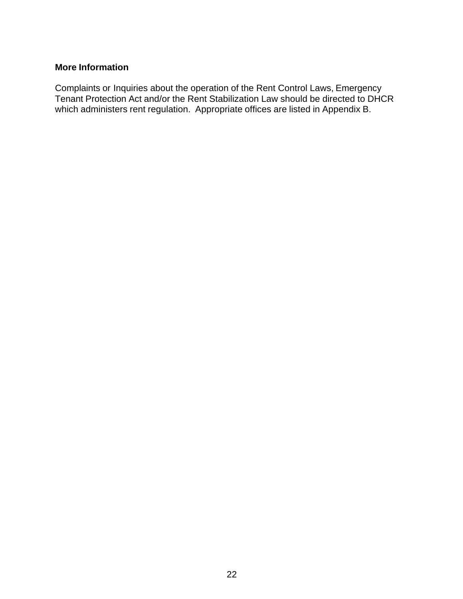#### **More Information**

Complaints or Inquiries about the operation of the Rent Control Laws, Emergency Tenant Protection Act and/or the Rent Stabilization Law should be directed to DHCR which administers rent regulation. Appropriate offices are listed in Appendix B.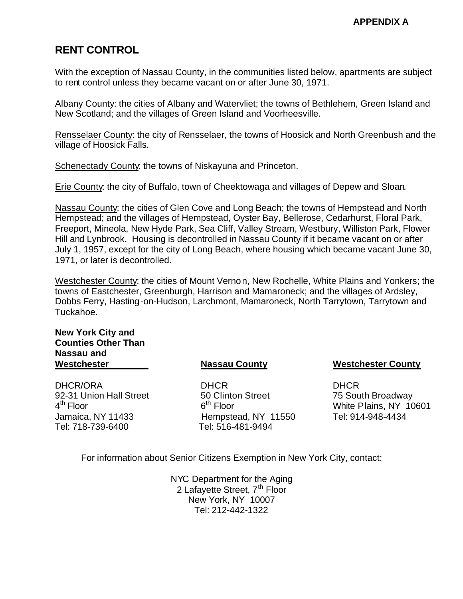## **RENT CONTROL**

With the exception of Nassau County, in the communities listed below, apartments are subject to rent control unless they became vacant on or after June 30, 1971.

Albany County: the cities of Albany and Watervliet; the towns of Bethlehem, Green Island and New Scotland; and the villages of Green Island and Voorheesville.

Rensselaer County: the city of Rensselaer, the towns of Hoosick and North Greenbush and the village of Hoosick Falls.

Schenectady County: the towns of Niskayuna and Princeton.

Erie County: the city of Buffalo, town of Cheektowaga and villages of Depew and Sloan.

Nassau County: the cities of Glen Cove and Long Beach; the towns of Hempstead and North Hempstead; and the villages of Hempstead, Oyster Bay, Bellerose, Cedarhurst, Floral Park, Freeport, Mineola, New Hyde Park, Sea Cliff, Valley Stream, Westbury, Williston Park, Flower Hill and Lynbrook. Housing is decontrolled in Nassau County if it became vacant on or after July 1, 1957, except for the city of Long Beach, where housing which became vacant June 30, 1971, or later is decontrolled.

Westchester County: the cities of Mount Vernon, New Rochelle, White Plains and Yonkers; the towns of Eastchester, Greenburgh, Harrison and Mamaroneck; and the villages of Ardsley, Dobbs Ferry, Hasting-on-Hudson, Larchmont, Mamaroneck, North Tarrytown, Tarrytown and Tuckahoe.

#### **New York City and Counties Other Than Nassau and Westchester \_**

DHCR/ORA 92-31 Union Hall Street 4<sup>th</sup> Floor Jamaica, NY 11433 Tel: 718-739-6400

#### **Nassau County**

 DHCR 50 Clinton Street  $6<sup>th</sup>$  Floor Hempstead, NY 11550 Tel: 516-481-9494

#### **Westchester County**

DHCR 75 South Broadway White Plains, NY 10601 Tel: 914-948-4434

For information about Senior Citizens Exemption in New York City, contact:

NYC Department for the Aging 2 Lafayette Street, 7<sup>th</sup> Floor New York, NY 10007 Tel: 212-442-1322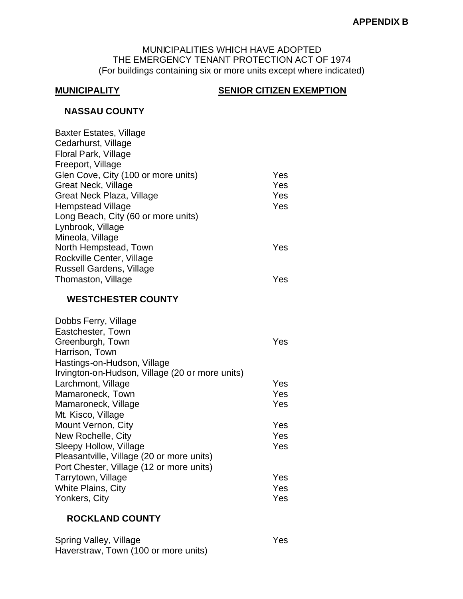#### MUNICIPALITIES WHICH HAVE ADOPTED THE EMERGENCY TENANT PROTECTION ACT OF 1974 (For buildings containing six or more units except where indicated)

#### **MUNICIPALITY SENIOR CITIZEN EXEMPTION**

#### **NASSAU COUNTY**

| <b>Baxter Estates, Village</b>                  |     |
|-------------------------------------------------|-----|
| Cedarhurst, Village                             |     |
| Floral Park, Village                            |     |
| Freeport, Village                               |     |
| Glen Cove, City (100 or more units)             | Yes |
| <b>Great Neck, Village</b>                      | Yes |
| Great Neck Plaza, Village                       | Yes |
| <b>Hempstead Village</b>                        | Yes |
| Long Beach, City (60 or more units)             |     |
| Lynbrook, Village                               |     |
| Mineola, Village                                |     |
| North Hempstead, Town                           | Yes |
| Rockville Center, Village                       |     |
| <b>Russell Gardens, Village</b>                 |     |
| Thomaston, Village                              | Yes |
| <b>WESTCHESTER COUNTY</b>                       |     |
| Dobbs Ferry, Village                            |     |
| Eastchester, Town                               |     |
| Greenburgh, Town                                | Yes |
| Harrison, Town                                  |     |
| Hastings-on-Hudson, Village                     |     |
| Irvington-on-Hudson, Village (20 or more units) |     |
| Larchmont, Village                              | Yes |
| Mamaroneck, Town                                | Yes |
| Mamaroneck, Village                             | Yes |

| Yes |
|-----|
| Yes |
| Yes |
|     |
| Yes |
| Yes |
| Yes |
|     |
|     |
| Yes |
| Yes |
| Yes |
|     |

#### **ROCKLAND COUNTY**

| Spring Valley, Village               | <b>Yes</b> |
|--------------------------------------|------------|
| Haverstraw, Town (100 or more units) |            |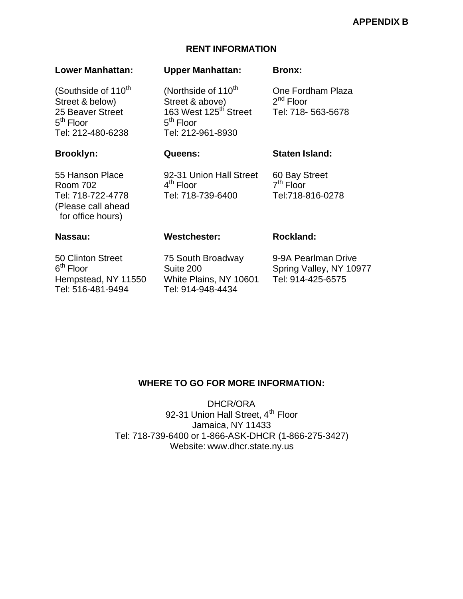#### **APPENDIX B**

#### **RENT INFORMATION**

#### **Lower Manhattan: Upper Manhattan: Bronx:**

(Southside of 110<sup>th</sup> (Northside of 110<sup>th</sup> One Fordham Plaza Street & below) Street & above) 25 Beaver Street 163 West 125<sup>th</sup> Street Tel: 718- 563-5678 5<sup>th</sup> Floor 5 Tel: 212-480-6238 Tel: 212-961-8930

#### **Brooklyn: Queens: Staten Island:**

55 Hanson Place 92-31 Union Hall Street 60 Bay Street Room 702 4 Tel: 718-722-4778 Tel: 718-739-6400 Tel:718-816-0278 (Please call ahead for office hours)

 $5<sup>th</sup>$  Floor

 $4<sup>th</sup>$  Floor

#### **Nassau: Westchester: Rockland: Rockland:**

 $7<sup>th</sup>$  Floor

 $2^{nd}$  Floor

50 Clinton Street 75 South Broadway 9-9A Pearlman Drive  $6<sup>th</sup>$  Floor Hempstead, NY 11550 White Plains, NY 10601 Tel: 914-425-6575 Tel: 516-481-9494 Tel: 914-948-4434

Suite 200 Spring Valley, NY 10977

#### **WHERE TO GO FOR MORE INFORMATION:**

DHCR/ORA 92-31 Union Hall Street, 4<sup>th</sup> Floor Jamaica, NY 11433 Tel: 718-739-6400 or 1-866-ASK-DHCR (1-866-275-3427) Website: www.dhcr.state.ny.us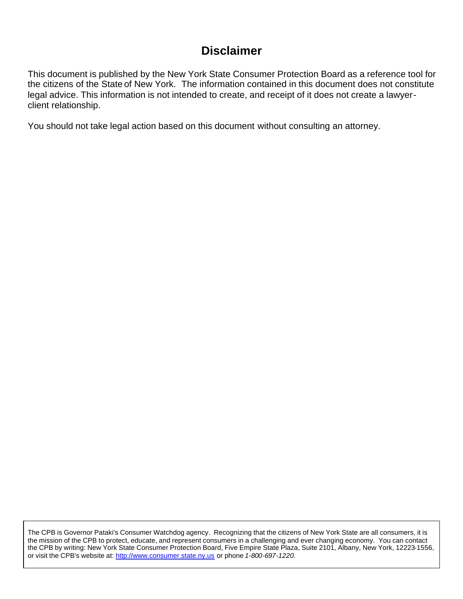# **Disclaimer**

This document is published by the New York State Consumer Protection Board as a reference tool for the citizens of the State of New York. The information contained in this document does not constitute legal advice. This information is not intended to create, and receipt of it does not create a lawyerclient relationship.

You should not take legal action based on this document without consulting an attorney.

The CPB is Governor Pataki's Consumer Watchdog agency. Recognizing that the citizens of New York State are all consumers, it is the mission of the CPB to protect, educate, and represent consumers in a challenging and ever changing economy. You can contact the CPB by writing: New York State Consumer Protection Board, Five Empire State Plaza, Suite 2101, Albany, New York, 12223-1556, or visit the CPB's website at: http://www.consumer.state.ny.us or phone *1-800-697-1220.*